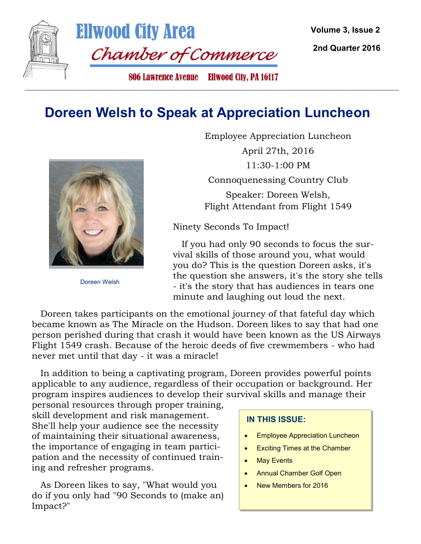

**2nd Quarter 2016**

### **Doreen Welsh to Speak at Appreciation Luncheon**

 $\_$  ,  $\_$  ,  $\_$  ,  $\_$  ,  $\_$  ,  $\_$  ,  $\_$  ,  $\_$  ,  $\_$  ,  $\_$  ,  $\_$  ,  $\_$  ,  $\_$  ,  $\_$  ,  $\_$  ,  $\_$  ,  $\_$  ,  $\_$  ,  $\_$  ,  $\_$  ,  $\_$  ,  $\_$  ,  $\_$  ,  $\_$  ,  $\_$  ,  $\_$  ,  $\_$  ,  $\_$  ,  $\_$  ,  $\_$  ,  $\_$  ,  $\_$  ,  $\_$  ,  $\_$  ,  $\_$  ,  $\_$  ,  $\_$  ,



Doreen Welsh

Employee Appreciation Luncheon April 27th, 2016 11:30-1:00 PM Connoquenessing Country Club Speaker: Doreen Welsh, Flight Attendant from Flight 1549

Ninety Seconds To Impact!

 If you had only 90 seconds to focus the survival skills of those around you, what would you do? This is the question Doreen asks, it's the question she answers, it's the story she tells - it's the story that has audiences in tears one minute and laughing out loud the next.

 Doreen takes participants on the emotional journey of that fateful day which became known as The Miracle on the Hudson. Doreen likes to say that had one person perished during that crash it would have been known as the US Airways Flight 1549 crash. Because of the heroic deeds of five crewmembers - who had never met until that day - it was a miracle!

 In addition to being a captivating program, Doreen provides powerful points applicable to any audience, regardless of their occupation or background. Her program inspires audiences to develop their survival skills and manage their

personal resources through proper training, skill development and risk management. She'll help your audience see the necessity of maintaining their situational awareness, the importance of engaging in team participation and the necessity of continued training and refresher programs.

 As Doreen likes to say, "What would you do if you only had "90 Seconds to (make an) Impact?"

#### **IN THIS ISSUE:**

- Employee Appreciation Luncheon
- Exciting Times at the Chamber
- May Events
- Annual Chamber Golf Open
- New Members for 2016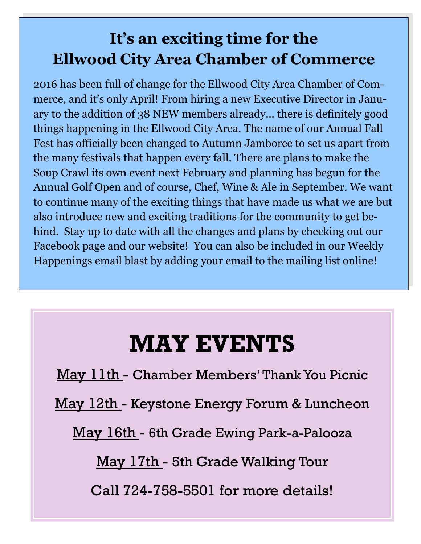## **It's an exciting time for the Ellwood City Area Chamber of Commerce**

2016 has been full of change for the Ellwood City Area Chamber of Commerce, and it's only April! From hiring a new Executive Director in January to the addition of 38 NEW members already… there is definitely good things happening in the Ellwood City Area. The name of our Annual Fall Fest has officially been changed to Autumn Jamboree to set us apart from the many festivals that happen every fall. There are plans to make the Soup Crawl its own event next February and planning has begun for the Annual Golf Open and of course, Chef, Wine & Ale in September. We want to continue many of the exciting things that have made us what we are but also introduce new and exciting traditions for the community to get behind. Stay up to date with all the changes and plans by checking out our Facebook page and our website! You can also be included in our Weekly Happenings email blast by adding your email to the mailing list online!

# **MAY EVENTS**

May 11th - Chamber Members' Thank You Picnic

May 12th - Keystone Energy Forum & Luncheon

May 16th - 6th Grade Ewing Park-a-Palooza

May 17th - 5th Grade Walking Tour

Call 724-758-5501 for more details!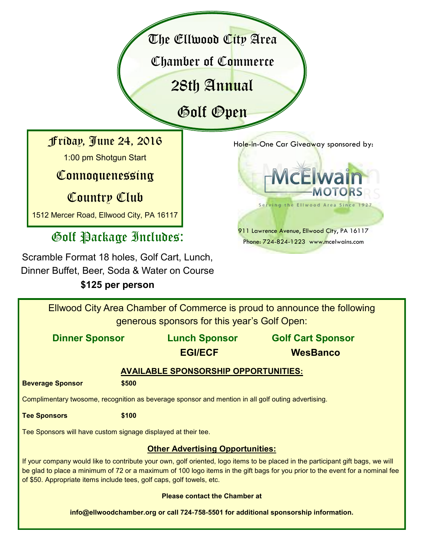The Ellwood City Area

Chamber of Commerce

28th Annual

Golf Open

Friday, June 24, 2016

1:00 pm Shotgun Start

Connoquenessing

Country Club

1512 Mercer Road, Ellwood City, PA 16117

## Golf Package Includes:

Scramble Format 18 holes, Golf Cart, Lunch, Dinner Buffet, Beer, Soda & Water on Course

### **\$125 per person**

Hole-in-One Car Giveaway sponsored by:



Ellwood City Area Chamber of Commerce is proud to announce the following generous sponsors for this year's Golf Open:

**Dinner Sponsor Lunch Sponsor Golf Cart Sponsor EGI/ECF WesBanco AVAILABLE SPONSORSHIP OPPORTUNITIES: Beverage Sponsor \$500** Complimentary twosome, recognition as beverage sponsor and mention in all golf outing advertising. **Tee Sponsors \$100** Tee Sponsors will have custom signage displayed at their tee. **Other Advertising Opportunities:** If your company would like to contribute your own, golf oriented, logo items to be placed in the participant gift bags, we will be glad to place a minimum of 72 or a maximum of 100 logo items in the gift bags for you prior to the event for a nominal fee of \$50. Appropriate items include tees, golf caps, golf towels, etc.

#### **Please contact the Chamber at**

**info@ellwoodchamber.org or call 724-758-5501 for additional sponsorship information.**